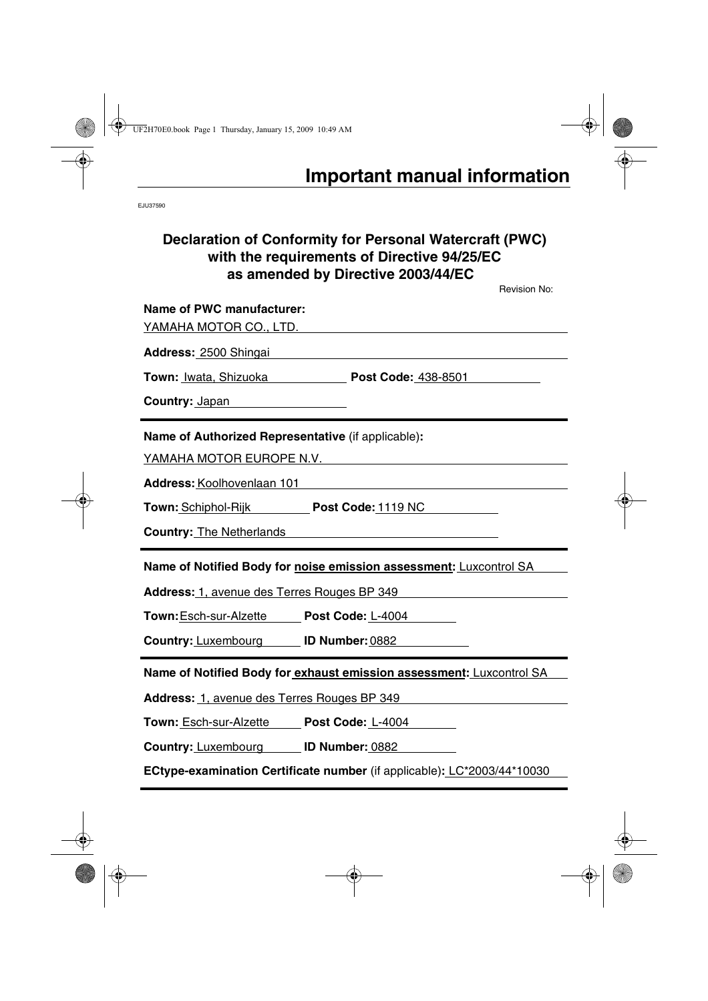EJU37590

## **Declaration of Conformity for Personal Watercraft (PWC) with the requirements of Directive 94/25/EC as amended by Directive 2003/44/EC**

Revision No: **Name of PWC manufacturer:**  YAMAHA MOTOR CO., LTD. **Address:** 2500 Shingai **Town:** Iwata, Shizuoka **Post Code:** 438-8501 **Country:** Japan **Name of Authorized Representative** (if applicable)**:**  YAMAHA MOTOR EUROPE N.V. **Address:** Koolhovenlaan 101 **Town:** Schiphol-Rijk **Post Code:** 1119 NC **Country:** The Netherlands **Name of Notified Body for noise emission assessment:** Luxcontrol SA **Address:** 1, avenue des Terres Rouges BP 349 **Town:**Esch-sur-Alzette **Post Code:** L-4004 **Country:** Luxembourg **ID Number:** 0882

**Name of Notified Body for exhaust emission assessment:** Luxcontrol SA

**Address:** 1, avenue des Terres Rouges BP 349

**Town:** Esch-sur-Alzette **Post Code:** L-4004

**Country:** Luxembourg **ID Number:** 0882

**ECtype-examination Certificate number** (if applicable)**:** LC\*2003/44\*10030